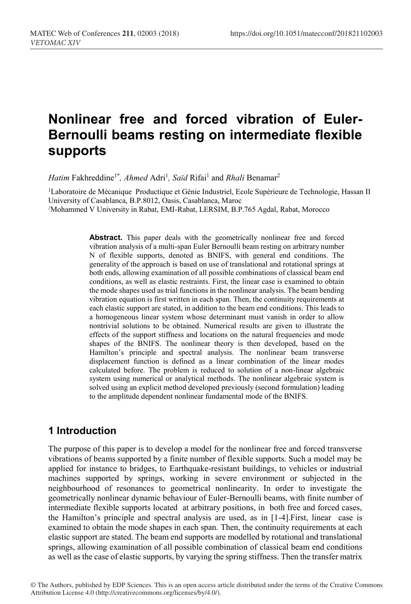# **Nonlinear free and forced vibration of Euler-Bernoulli beams resting on intermediate flexible supports**

*Hatim* Fakhreddine<sup>1\*</sup>, Ahmed Adri<sup>1</sup>, Saïd Rifai<sup>1</sup> and *Rhali* Benamar<sup>2</sup>

<sup>1</sup>Laboratoire de Mécanique Productique et Génie Industriel, Ecole Supérieure de Technologie, Hassan II University of Casablanca, B.P.8012, Oasis, Casablanca, Maroc *2* Mohammed V University in Rabat, EMI-Rabat, LERSIM, B.P.765 Agdal, Rabat, Morocco

> Abstract. This paper deals with the geometrically nonlinear free and forced vibration analysis of a multi-span Euler Bernoulli beam resting on arbitrary number N of flexible supports, denoted as BNIFS, with general end conditions. The generality of the approach is based on use of translational and rotational springs at both ends, allowing examination of all possible combinations of classical beam end conditions, as well as elastic restraints. First, the linear case is examined to obtain the mode shapes used as trial functions in the nonlinear analysis. The beam bending vibration equation is first written in each span. Then, the continuity requirements at each elastic support are stated, in addition to the beam end conditions. This leads to a homogeneous linear system whose determinant must vanish in order to allow nontrivial solutions to be obtained. Numerical results are given to illustrate the effects of the support stiffness and locations on the natural frequencies and mode shapes of the BNIFS. The nonlinear theory is then developed, based on the Hamilton's principle and spectral analysis. The nonlinear beam transverse displacement function is defined as a linear combination of the linear modes calculated before. The problem is reduced to solution of a non-linear algebraic system using numerical or analytical methods. The nonlinear algebraic system is solved using an explicit method developed previously (second formulation) leading to the amplitude dependent nonlinear fundamental mode of the BNIFS.

## **1 Introduction**

The purpose of this paper is to develop a model for the nonlinear free and forced transverse vibrations of beams supported by a finite number of flexible supports. Such a model may be applied for instance to bridges, to Earthquake-resistant buildings, to vehicles or industrial machines supported by springs, working in severe environment or subjected in the neighbourhood of resonances to geometrical nonlinearity. In order to investigate the geometrically nonlinear dynamic behaviour of Euler-Bernoulli beams, with finite number of intermediate flexible supports located at arbitrary positions, in both free and forced cases, the Hamilton's principle and spectral analysis are used, as in [1-4].First, linear case is examined to obtain the mode shapes in each span. Then, the continuity requirements at each elastic support are stated. The beam end supports are modelled by rotational and translational springs, allowing examination of all possible combination of classical beam end conditions as well as the case of elastic supports, by varying the spring stiffness. Then the transfer matrix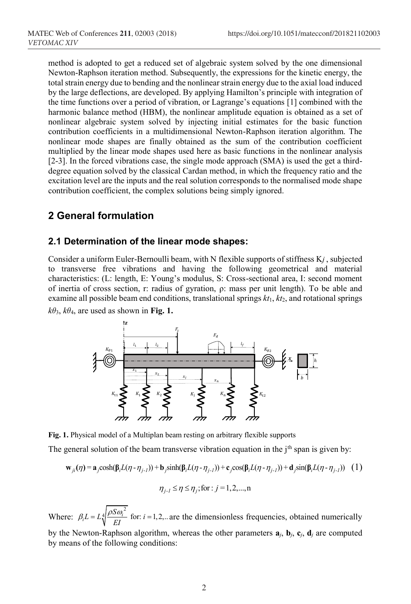method is adopted to get a reduced set of algebraic system solved by the one dimensional Newton-Raphson iteration method. Subsequently, the expressions for the kinetic energy, the total strain energy due to bending and the nonlinear strain energy due to the axial load induced by the large deflections, are developed. By applying Hamilton's principle with integration of the time functions over a period of vibration, or Lagrange's equations [1] combined with the harmonic balance method (HBM), the nonlinear amplitude equation is obtained as a set of nonlinear algebraic system solved by injecting initial estimates for the basic function contribution coefficients in a multidimensional Newton-Raphson iteration algorithm. The nonlinear mode shapes are finally obtained as the sum of the contribution coefficient multiplied by the linear mode shapes used here as basic functions in the nonlinear analysis [2-3]. In the forced vibrations case, the single mode approach (SMA) is used the get a thirddegree equation solved by the classical Cardan method, in which the frequency ratio and the excitation level are the inputs and the real solution corresponds to the normalised mode shape contribution coefficient, the complex solutions being simply ignored.

## **2 General formulation**

#### **2.1 Determination of the linear mode shapes:**

Consider a uniform Euler-Bernoulli beam, with N flexible supports of stiffness K*j* , subjected to transverse free vibrations and having the following geometrical and material characteristics: (L: length, E: Young's modulus, S: Cross-sectional area, I: second moment of inertia of cross section, r: radius of gyration, ρ: mass per unit length). To be able and examine all possible beam end conditions, translational springs *kt*1, *kt*2, and rotational springs  $k\theta_3$ ,  $k\theta_4$ , are used as shown in **Fig. 1.** 





The general solution of the beam transverse vibration equation in the  $j<sup>th</sup>$  span is given by:

$$
\mathbf{w}_{ji}(\eta) = \mathbf{a}_j \cosh(\beta_i L(\eta - \eta_{j-1})) + \mathbf{b}_j \sinh(\beta_i L(\eta - \eta_{j-1})) + \mathbf{c}_j \cos(\beta_i L(\eta - \eta_{j-1})) + \mathbf{d}_j \sin(\beta_i L(\eta - \eta_{j-1})) \tag{1}
$$
  

$$
\eta_{j-1} \le \eta \le \eta_j; \text{for } j = 1, 2, ..., n
$$

Where:  $\beta_i L = L_1^4 \left( \frac{\rho S \omega_i^2}{EI} \right)$  for: *i* = 1,2,.. are the dimensionless frequencies, obtained numerically by the Newton-Raphson algorithm, whereas the other parameters **a***j*, **b***j*, **c***j*, **d***<sup>j</sup>* are computed by means of the following conditions: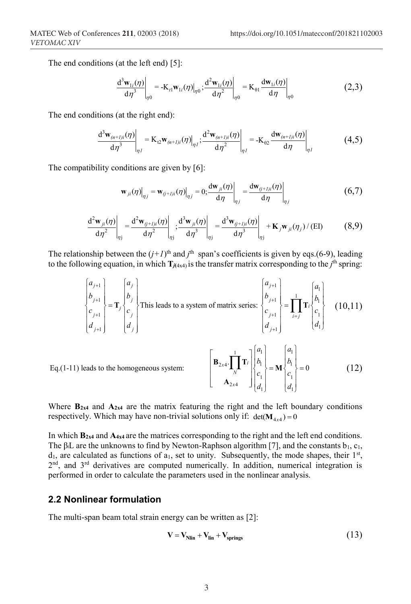The end conditions (at the left end) [5]:

$$
\left. \frac{\mathrm{d}^3 \mathbf{w}_{1i}(\eta)}{\mathrm{d}\eta^3} \right|_{\eta_0} = -\mathbf{K}_{t1} \mathbf{w}_{1i}(\eta) \Big|_{\eta_0}; \left. \frac{\mathrm{d}^2 \mathbf{w}_{1i}(\eta)}{\mathrm{d}\eta^2} \right|_{\eta_0} = \mathbf{K}_{\theta 1} \left. \frac{\mathrm{d} \mathbf{w}_{1i}(\eta)}{\mathrm{d}\eta} \right|_{\eta_0}
$$
(2,3)

The end conditions (at the right end):

$$
\left. \frac{d^3 \mathbf{w}_{(n+1)i}(\eta)}{d\eta^3} \right|_{\eta I} = \mathbf{K}_{i2} \mathbf{w}_{(n+1)i}(\eta) \Big|_{\eta I}; \left. \frac{d^2 \mathbf{w}_{(n+1)i}(\eta)}{d\eta^2} \right|_{\eta I} = -\mathbf{K}_{02} \left. \frac{d \mathbf{w}_{(n+1)i}(\eta)}{d\eta} \right|_{\eta I}
$$
(4,5)

The compatibility conditions are given by [6]:

$$
\mathbf{w}_{ji}(\eta)\big|_{\eta j} = \mathbf{w}_{(j+1)i}(\eta)\big|_{\eta j} = 0; \frac{\mathrm{d}\mathbf{w}_{ji}(\eta)}{\mathrm{d}\eta}\big|_{\eta j} = \frac{\mathrm{d}\mathbf{w}_{(j+1)i}(\eta)}{\mathrm{d}\eta}\big|_{\eta j}
$$
(6,7)

$$
\left. \frac{\mathrm{d}^2 \mathbf{w}_{ji}(\eta)}{\mathrm{d}\eta^2} \right|_{\eta j} = \left. \frac{\mathrm{d}^2 \mathbf{w}_{(j+1)i}(\eta)}{\mathrm{d}\eta^2} \right|_{\eta j}; \left. \frac{\mathrm{d}^3 \mathbf{w}_{ji}(\eta)}{\mathrm{d}\eta^3} \right|_{\eta j} = \left. \frac{\mathrm{d}^3 \mathbf{w}_{(j+1)i}(\eta)}{\mathrm{d}\eta^3} \right|_{\eta j} + \mathbf{K}_{j} \mathbf{w}_{ji}(\eta_{j}) / (\mathrm{EI}) \tag{8.9}
$$

The relationship between the  $(j+1)$ <sup>th</sup> and  $j$ <sup>th</sup> span's coefficients is given by eqs.(6-9), leading to the following equation, in which  $T_{j(4x4)}$  is the transfer matrix corresponding to the  $j<sup>th</sup>$  spring:

$$
\begin{Bmatrix} a_{j+1} \\ b_{j+1} \\ c_{j+1} \\ d_{j+1} \end{Bmatrix} = \mathbf{T}_j \begin{bmatrix} a_j \\ b_j \\ c_j \\ c_j \\ d_j \end{bmatrix}
$$
 This leads to a system of matrix series: 
$$
\begin{Bmatrix} a_{j+1} \\ b_{j+1} \\ c_{j+1} \\ c_{j+1} \\ d_{j+1} \end{Bmatrix} = \prod_{i=j}^{1} \mathbf{T}_i \begin{bmatrix} a_1 \\ b_1 \\ c_1 \\ d_1 \end{bmatrix}
$$
 (10,11)

Eq.(1-11) leads to the homogeneous system:

$$
\begin{bmatrix} \mathbf{B}_{2x4} \cdot \prod_{N}^{1} \mathbf{T}_{i} \end{bmatrix} \begin{bmatrix} a_{1} \\ b_{1} \\ c_{1} \\ d_{1} \end{bmatrix} = \mathbf{M} \begin{bmatrix} a_{1} \\ b_{1} \\ c_{1} \\ d_{1} \end{bmatrix} = 0 \qquad (12)
$$

Where  $B_{2x4}$  and  $A_{2x4}$  are the matrix featuring the right and the left boundary conditions respectively. Which may have non-trivial solutions only if:  $det(\mathbf{M}_{4x4}) = 0$ 

In which **B2x4** and **A4x4** are the matrices corresponding to the right and the left end conditions. The  $\beta$ *i*L are the unknowns to find by Newton-Raphson algorithm [7], and the constants  $b_1$ ,  $c_1$ ,  $d_1$ , are calculated as functions of  $a_1$ , set to unity. Subsequently, the mode shapes, their  $1<sup>st</sup>$ ,  $2<sup>nd</sup>$ , and  $3<sup>rd</sup>$  derivatives are computed numerically. In addition, numerical integration is performed in order to calculate the parameters used in the nonlinear analysis.

#### **2.2 Nonlinear formulation**

The multi-span beam total strain energy can be written as [2]:

$$
V = V_{Nlin} + V_{lin} + V_{springs}
$$
 (13)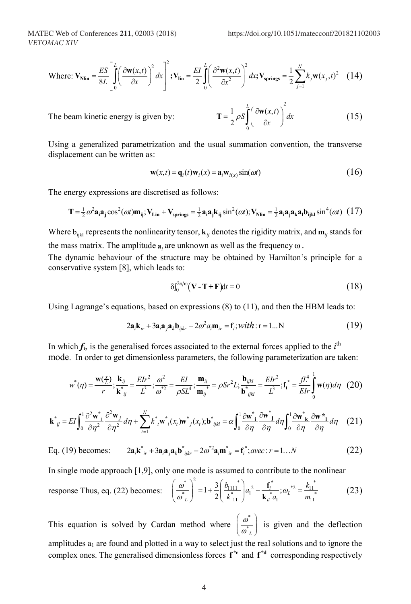Where: 
$$
\mathbf{V}_{\text{Nlin}} = \frac{ES}{8L} \left[ \int_{0}^{L} \left( \frac{\partial \mathbf{w}(x, t)}{\partial x} \right)^{2} dx \right]^{2}
$$
;  $\mathbf{V}_{\text{lin}} = \frac{EI}{2} \int_{0}^{L} \left( \frac{\partial^{2} \mathbf{w}(x, t)}{\partial x^{2}} \right)^{2} dx$ ;  $\mathbf{V}_{\text{springs}} = \frac{1}{2} \sum_{j=1}^{N} k_{j} \mathbf{w}(x_{j}, t)^{2}$  (14)

The beam kinetic energy is given by:

$$
\mathbf{T} = \frac{1}{2} \rho S \int_{0}^{L} \left( \frac{\partial \mathbf{w}(x, t)}{\partial x} \right)^{2} dx
$$
 (15)

Using a generalized parametrization and the usual summation convention, the transverse displacement can be written as:

$$
\mathbf{w}(x,t) = \mathbf{q}_i(t)\mathbf{w}_i(x) = \mathbf{a}_i \mathbf{w}_{i(x)} \sin(\omega t)
$$
 (16)

The energy expressions are discretised as follows:

$$
\mathbf{T} = \frac{1}{2}\omega^2 \mathbf{a}_i \mathbf{a}_j \cos^2(\omega t) \mathbf{m}_{ij}; \mathbf{V}_{Lin} + \mathbf{V}_{springs} = \frac{1}{2} \mathbf{a}_i \mathbf{a}_j \mathbf{k}_{ij} \sin^2(\omega t); \mathbf{V}_{Nlin} = \frac{1}{2} \mathbf{a}_i \mathbf{a}_j \mathbf{a}_k \mathbf{a}_l \mathbf{b}_{ijkl} \sin^4(\omega t) (17)
$$

Where  $\mathbf{b}_{ijkl}$  represents the nonlinearity tensor,  $\mathbf{k}_{ij}$  denotes the rigidity matrix, and  $\mathbf{m}_{ij}$  stands for the mass matrix. The amplitude  $a_i$  are unknown as well as the frequency  $\omega$ .

The dynamic behaviour of the structure may be obtained by Hamilton's principle for a conservative system [8], which leads to:

$$
\delta J_0^{2\pi/\omega} (\mathbf{V} - \mathbf{T} + \mathbf{F}) dt = 0 \tag{18}
$$

Using Lagrange's equations, based on expressions (8) to (11), and then the HBM leads to:

$$
2\mathbf{a}_i \mathbf{k}_{ir} + 3\mathbf{a}_i \mathbf{a}_j \mathbf{a}_k \mathbf{b}_{ijkr} - 2\omega^2 a_i \mathbf{m}_{ir} = \mathbf{f}_i; with : \mathbf{r} = 1...N
$$
 (19)

In which  $f_i$ , is the generalised forces associated to the external forces applied to the  $i<sup>th</sup>$ mode. In order to get dimensionless parameters, the following parameterization are taken:

$$
w^*(\eta) = \frac{\mathbf{w}(\frac{x}{L})}{r}; \frac{\mathbf{k}_{ij}}{\mathbf{k}_{ij}^*} = \frac{EIr^2}{L^3}; \frac{\omega^2}{\omega^{*2}} = \frac{EI}{\rho SL^4}; \frac{\mathbf{m}_{ij}}{\mathbf{m}_{ij}^*} = \rho Sr^2 L; \frac{\mathbf{b}_{ijkl}}{\mathbf{b}_{ijkl}^*} = \frac{EIr^2}{L^3}; \mathbf{f}_i^* = \frac{fL^4}{EIr} \int_0^1 \mathbf{w}(\eta) d\eta \quad (20)
$$

$$
\mathbf{k}^*_{ij} = EI \int_0^1 \frac{\partial^2 \mathbf{w}^*_{i}}{\partial \eta^2} \frac{\partial^2 \mathbf{w}_{j}}{\partial \eta^2} d\eta + \sum_{t=1}^N k^*_{t} \mathbf{w}^*_{i}(x_t) \mathbf{w}^*_{j}(x_t) ; \mathbf{b}^*_{ijkl} = \alpha \int_0^1 \frac{\partial \mathbf{w}^*_{i}}{\partial \eta} \frac{\partial \mathbf{w}^*_{j}}{\partial \eta} d\eta \int_0^1 \frac{\partial \mathbf{w}^*_{k}}{\partial \eta} \frac{\partial \mathbf{w}^*_{k}}{\partial \eta} d\eta \quad (21)
$$

Eq. (19) becomes: 
$$
2a_i \mathbf{k}_{ir}^* + 3a_i a_j a_k \mathbf{b}_{ijkr}^* - 2\omega^{*2} a_i \mathbf{m}_{ir}^* = \mathbf{f}_i^*; \text{avec}: r = 1...N
$$
 (22)

In single mode approach [1,9], only one mode is assumed to contribute to the nonlinear

response Thus, eq. (22) becomes: 
$$
\left(\frac{\omega^*}{\omega_L}\right)^2 = 1 + \frac{3}{2} \left(\frac{b_{1111}}{k_{11}^*}\right) a_1^2 - \frac{\mathbf{f}_i^*}{\mathbf{k}_{ii}^* a_1}, \omega_L^{*2} = \frac{k_{11}^*}{m_{11}^*}
$$
 (23)

This equation is solved by Cardan method where \* \* *L*  $\omega$  $\left(\frac{\omega^*}{\omega_L}\right)$  is given and the deflection amplitudes  $a_1$  are found and plotted in a way to select just the real solutions and to ignore the complex ones. The generalised dimensionless forces  $f^*$  and  $f^*$  corresponding respectively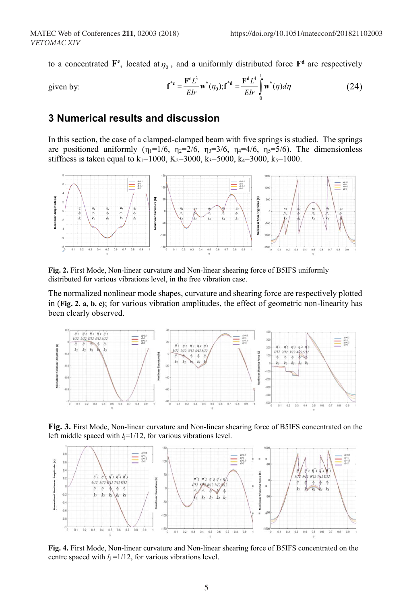to a concentrated  $\mathbf{F}^c$ , located at  $\eta_0$ , and a uniformly distributed force  $\mathbf{F}^d$  are respectively

given by:

$$
\mathbf{f}^{\ast c} = \frac{\mathbf{F}^c L^3}{EIr} \mathbf{w}^{\ast}(\eta_0); \mathbf{f}^{\ast d} = \frac{\mathbf{F}^d L^4}{EIr} \int_0^1 \mathbf{w}^{\ast}(\eta) d\eta
$$
 (24)

## **3 Numerical results and discussion**

In this section, the case of a clamped-clamped beam with five springs is studied. The springs are positioned uniformly  $(\eta_1=1/6, \eta_2=2/6, \eta_3=3/6, \eta_4=4/6, \eta_5=5/6)$ . The dimensionless stiffness is taken equal to k<sub>1</sub>=1000, K<sub>2</sub>=3000, k<sub>3</sub>=5000, k<sub>4</sub>=3000, k<sub>5</sub>=1000.



**Fig. 2.** First Mode, Non-linear curvature and Non-linear shearing force of B5IFS uniformly distributed for various vibrations level, in the free vibration case.

The normalized nonlinear mode shapes, curvature and shearing force are respectively plotted in (**Fig. 2. a, b, c)**; for various vibration amplitudes, the effect of geometric non-linearity has been clearly observed.



**Fig. 3.** First Mode, Non-linear curvature and Non-linear shearing force of B5IFS concentrated on the left middle spaced with *l*j=1/12, for various vibrations level.



**Fig. 4.** First Mode, Non-linear curvature and Non-linear shearing force of B5IFS concentrated on the centre spaced with  $l_1 = 1/12$ , for various vibrations level.